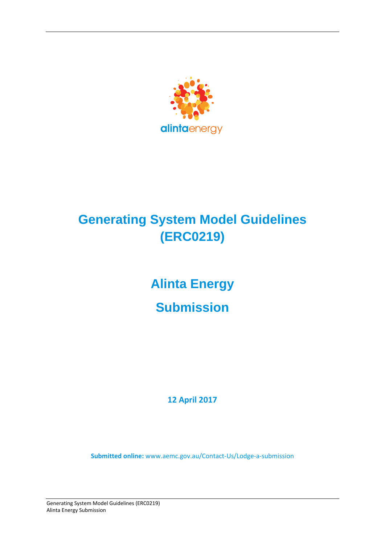

# **Generating System Model Guidelines (ERC0219)**

# **Alinta Energy Submission**

**12 April 2017**

**Submitted online:** [www.aemc.gov.au/Contact-Us/Lodge-a-submission](http://www.aemc.gov.au/contact-Us/Lodge-a-submission)

Generating System Model Guidelines (ERC0219) Alinta Energy Submission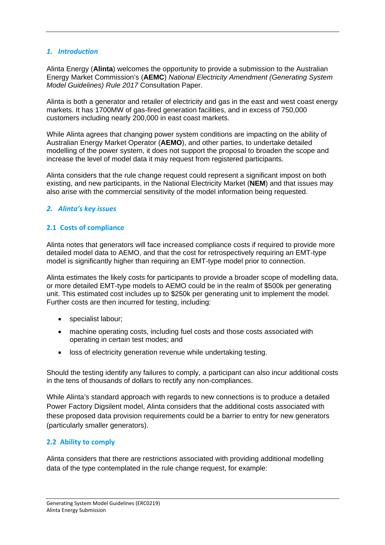#### *1. Introduction*

Alinta Energy (**Alinta**) welcomes the opportunity to provide a submission to the Australian Energy Market Commission's (**AEMC**) *National Electricity Amendment (Generating System Model Guidelines) Rule 2017* Consultation Paper.

Alinta is both a generator and retailer of electricity and gas in the east and west coast energy markets. It has 1700MW of gas-fired generation facilities, and in excess of 750,000 customers including nearly 200,000 in east coast markets.

While Alinta agrees that changing power system conditions are impacting on the ability of Australian Energy Market Operator (**AEMO**), and other parties, to undertake detailed modelling of the power system, it does not support the proposal to broaden the scope and increase the level of model data it may request from registered participants.

Alinta considers that the rule change request could represent a significant impost on both existing, and new participants, in the National Electricity Market (**NEM**) and that issues may also arise with the commercial sensitivity of the model information being requested.

#### *2. Alinta's key issues*

#### **2.1 Costs of compliance**

Alinta notes that generators will face increased compliance costs if required to provide more detailed model data to AEMO, and that the cost for retrospectively requiring an EMT-type model is significantly higher than requiring an EMT-type model prior to connection.

Alinta estimates the likely costs for participants to provide a broader scope of modelling data, or more detailed EMT-type models to AEMO could be in the realm of \$500k per generating unit. This estimated cost includes up to \$250k per generating unit to implement the model. Further costs are then incurred for testing, including:

- specialist labour;
- machine operating costs, including fuel costs and those costs associated with operating in certain test modes; and
- loss of electricity generation revenue while undertaking testing.

Should the testing identify any failures to comply, a participant can also incur additional costs in the tens of thousands of dollars to rectify any non-compliances.

While Alinta's standard approach with regards to new connections is to produce a detailed Power Factory Digsilent model, Alinta considers that the additional costs associated with these proposed data provision requirements could be a barrier to entry for new generators (particularly smaller generators).

#### **2.2 Ability to comply**

Alinta considers that there are restrictions associated with providing additional modelling data of the type contemplated in the rule change request, for example: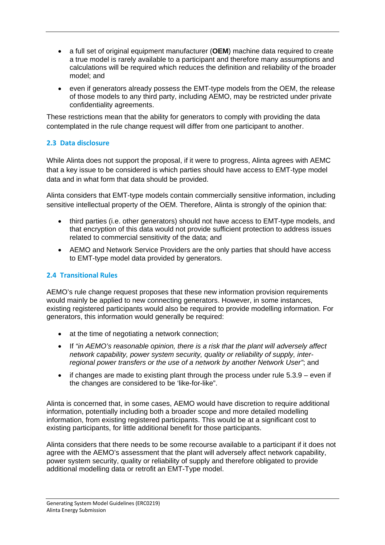- a full set of original equipment manufacturer (**OEM**) machine data required to create a true model is rarely available to a participant and therefore many assumptions and calculations will be required which reduces the definition and reliability of the broader model; and
- even if generators already possess the EMT-type models from the OEM, the release of those models to any third party, including AEMO, may be restricted under private confidentiality agreements.

These restrictions mean that the ability for generators to comply with providing the data contemplated in the rule change request will differ from one participant to another.

## **2.3 Data disclosure**

While Alinta does not support the proposal, if it were to progress, Alinta agrees with AEMC that a key issue to be considered is which parties should have access to EMT-type model data and in what form that data should be provided.

Alinta considers that EMT-type models contain commercially sensitive information, including sensitive intellectual property of the OEM. Therefore, Alinta is strongly of the opinion that:

- third parties (i.e. other generators) should not have access to EMT-type models, and that encryption of this data would not provide sufficient protection to address issues related to commercial sensitivity of the data; and
- AEMO and Network Service Providers are the only parties that should have access to EMT-type model data provided by generators.

### **2.4 Transitional Rules**

AEMO's rule change request proposes that these new information provision requirements would mainly be applied to new connecting generators. However, in some instances, existing registered participants would also be required to provide modelling information. For generators, this information would generally be required:

- at the time of negotiating a network connection;
- If *"in AEMO's reasonable opinion, there is a risk that the plant will adversely affect network capability, power system security, quality or reliability of supply, interregional power transfers or the use of a network by another Network User"*; and
- if changes are made to existing plant through the process under rule 5.3.9 even if the changes are considered to be 'like-for-like".

Alinta is concerned that, in some cases, AEMO would have discretion to require additional information, potentially including both a broader scope and more detailed modelling information, from existing registered participants. This would be at a significant cost to existing participants, for little additional benefit for those participants.

Alinta considers that there needs to be some recourse available to a participant if it does not agree with the AEMO's assessment that the plant will adversely affect network capability, power system security, quality or reliability of supply and therefore obligated to provide additional modelling data or retrofit an EMT-Type model.